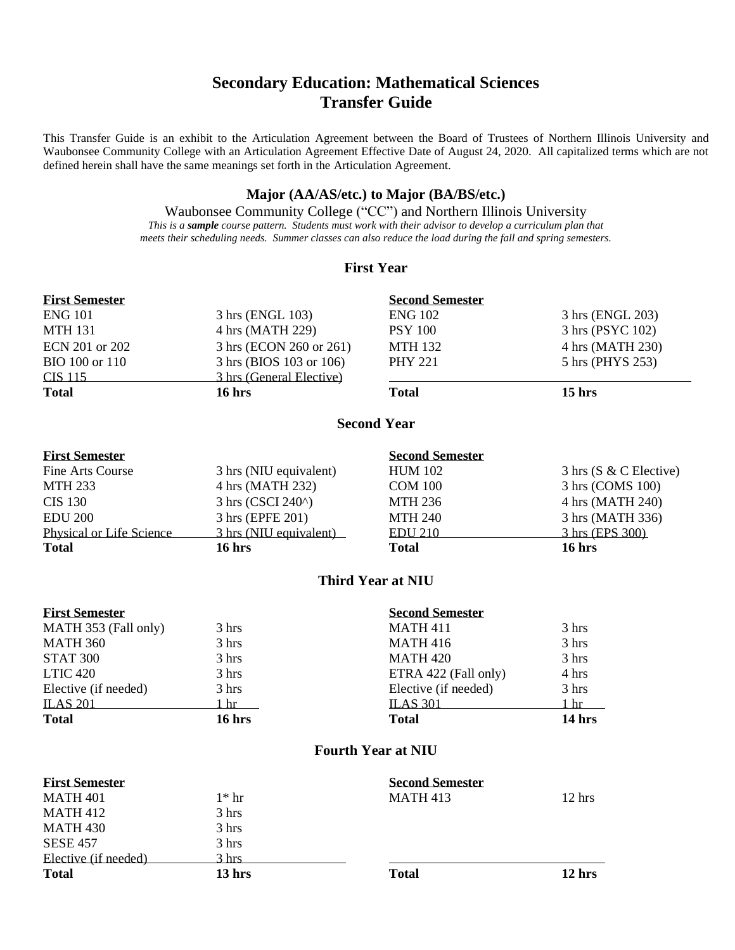# **Secondary Education: Mathematical Sciences Transfer Guide**

This Transfer Guide is an exhibit to the Articulation Agreement between the Board of Trustees of Northern Illinois University and Waubonsee Community College with an Articulation Agreement Effective Date of August 24, 2020. All capitalized terms which are not defined herein shall have the same meanings set forth in the Articulation Agreement.

#### **Major (AA/AS/etc.) to Major (BA/BS/etc.)**

Waubonsee Community College ("CC") and Northern Illinois University *This is a sample course pattern. Students must work with their advisor to develop a curriculum plan that meets their scheduling needs. Summer classes can also reduce the load during the fall and spring semesters.*

## **First Year**

| <b>First Semester</b>    |                          | <b>Second Semester</b> |                                  |
|--------------------------|--------------------------|------------------------|----------------------------------|
| <b>ENG 101</b>           | 3 hrs (ENGL 103)         | <b>ENG 102</b>         | 3 hrs (ENGL 203)                 |
| <b>MTH 131</b>           | 4 hrs (MATH 229)         | <b>PSY 100</b>         | 3 hrs (PSYC 102)                 |
| ECN 201 or 202           | 3 hrs (ECON 260 or 261)  | <b>MTH 132</b>         | 4 hrs (MATH 230)                 |
| BIO 100 or 110           | 3 hrs (BIOS 103 or 106)  | <b>PHY 221</b>         | 5 hrs (PHYS 253)                 |
| CIS 115                  | 3 hrs (General Elective) |                        |                                  |
| <b>Total</b>             | $16$ hrs                 | <b>Total</b>           | $15$ hrs                         |
|                          |                          | <b>Second Year</b>     |                                  |
| <b>First Semester</b>    |                          | <b>Second Semester</b> |                                  |
| Fine Arts Course         | 3 hrs (NIU equivalent)   | <b>HUM 102</b>         | $3 \text{ hrs}$ (S & C Elective) |
| <b>MTH 233</b>           | 4 hrs (MATH 232)         | <b>COM 100</b>         | 3 hrs (COMS 100)                 |
| <b>CIS 130</b>           | 3 hrs (CSCI 240^)        | <b>MTH 236</b>         | 4 hrs (MATH 240)                 |
| <b>EDU 200</b>           | 3 hrs (EPFE 201)         | <b>MTH 240</b>         | 3 hrs (MATH 336)                 |
| Physical or Life Science | 3 hrs (NIU equivalent)   | <b>EDU 210</b>         | 3 hrs (EPS 300)                  |
| <b>Total</b>             | 16 hrs                   | <b>Total</b>           | $16$ hrs                         |

## **Third Year at NIU**

| <b>First Semester</b> |        | <b>Second Semester</b> |        |
|-----------------------|--------|------------------------|--------|
| MATH 353 (Fall only)  | 3 hrs  | <b>MATH 411</b>        | 3 hrs  |
| <b>MATH 360</b>       | 3 hrs  | <b>MATH 416</b>        | 3 hrs  |
| <b>STAT 300</b>       | 3 hrs  | <b>MATH 420</b>        | 3 hrs  |
| <b>LTIC 420</b>       | 3 hrs  | ETRA 422 (Fall only)   | 4 hrs  |
| Elective (if needed)  | 3 hrs  | Elective (if needed)   | 3 hrs  |
| <b>ILAS 201</b>       | hr     | <b>ILAS 301</b>        | 1 hr   |
| <b>Total</b>          | 16 hrs | <b>Total</b>           | 14 hrs |

## **Fourth Year at NIU**

| <b>First Semester</b> |         | <b>Second Semester</b> |                  |
|-----------------------|---------|------------------------|------------------|
| <b>MATH 401</b>       | $1*$ hr | <b>MATH 413</b>        | $12 \text{ hrs}$ |
| <b>MATH 412</b>       | 3 hrs   |                        |                  |
| MATH 430              | 3 hrs   |                        |                  |
| <b>SESE 457</b>       | 3 hrs   |                        |                  |
| Elective (if needed)  | 3 hrs   |                        |                  |
| <b>Total</b>          | 13 hrs  | <b>Total</b>           | $12 \text{ hrs}$ |